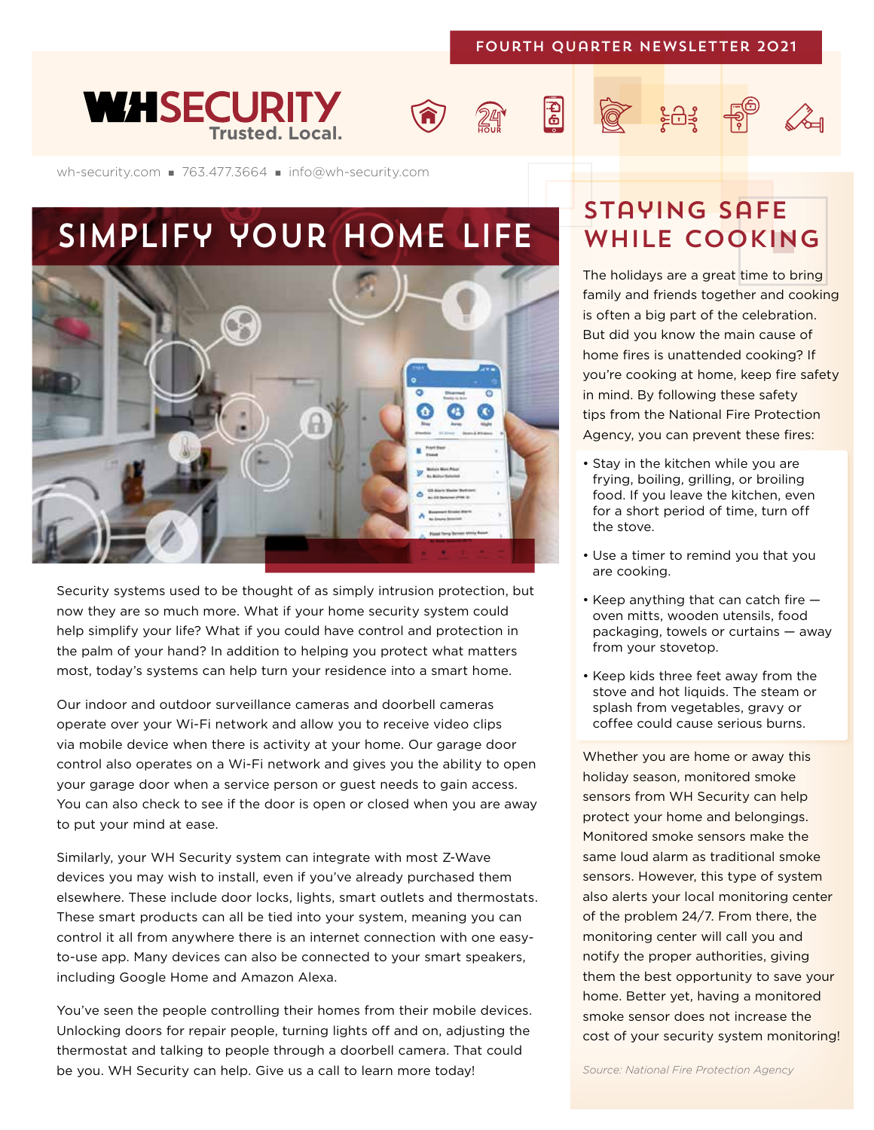#### Fourth Quarter Newsletter 2021

 $\mathbf{E}$ 







## SIMPLIFY YOUR HOME LIFE WHILE COOKING



Security systems used to be thought of as simply intrusion protection, but now they are so much more. What if your home security system could help simplify your life? What if you could have control and protection in the palm of your hand? In addition to helping you protect what matters most, today's systems can help turn your residence into a smart home.

Our indoor and outdoor surveillance cameras and doorbell cameras operate over your Wi-Fi network and allow you to receive video clips via mobile device when there is activity at your home. Our garage door control also operates on a Wi-Fi network and gives you the ability to open your garage door when a service person or guest needs to gain access. You can also check to see if the door is open or closed when you are away to put your mind at ease.

Similarly, your WH Security system can integrate with most Z-Wave devices you may wish to install, even if you've already purchased them elsewhere. These include door locks, lights, smart outlets and thermostats. These smart products can all be tied into your system, meaning you can control it all from anywhere there is an internet connection with one easyto-use app. Many devices can also be connected to your smart speakers, including Google Home and Amazon Alexa.

You've seen the people controlling their homes from their mobile devices. Unlocking doors for repair people, turning lights off and on, adjusting the thermostat and talking to people through a doorbell camera. That could be you. WH Security can help. Give us a call to learn more today!

# Staying safe

 $\widetilde{\mathcal{C}}$   $\widetilde{\mathcal{C}}$   $\widetilde{\mathcal{C}}$   $\widetilde{\mathcal{C}}$   $\widetilde{\mathcal{C}}$   $\widetilde{\mathcal{C}}$   $\widetilde{\mathcal{C}}$   $\widetilde{\mathcal{C}}$   $\widetilde{\mathcal{C}}$   $\widetilde{\mathcal{C}}$   $\widetilde{\mathcal{C}}$   $\widetilde{\mathcal{C}}$   $\widetilde{\mathcal{C}}$   $\widetilde{\mathcal{C}}$   $\widetilde{\mathcal{C}}$   $\widetilde{\mathcal{C}}$   $\widetilde{\mathcal{C}}$ 

The holidays are a great time to bring family and friends together and cooking is often a big part of the celebration. But did you know the main cause of home fires is unattended cooking? If you're cooking at home, keep fire safety in mind. By following these safety tips from the National Fire Protection Agency, you can prevent these fires:

- Stay in the kitchen while you are frying, boiling, grilling, or broiling food. If you leave the kitchen, even for a short period of time, turn off the stove.
- Use a timer to remind you that you are cooking.
- Keep anything that can catch fire oven mitts, wooden utensils, food packaging, towels or curtains — away from your stovetop.
- Keep kids three feet away from the stove and hot liquids. The steam or splash from vegetables, gravy or coffee could cause serious burns.

Whether you are home or away this holiday season, monitored smoke sensors from WH Security can help protect your home and belongings. Monitored smoke sensors make the same loud alarm as traditional smoke sensors. However, this type of system also alerts your local monitoring center of the problem 24/7. From there, the monitoring center will call you and notify the proper authorities, giving them the best opportunity to save your home. Better yet, having a monitored smoke sensor does not increase the cost of your security system monitoring!